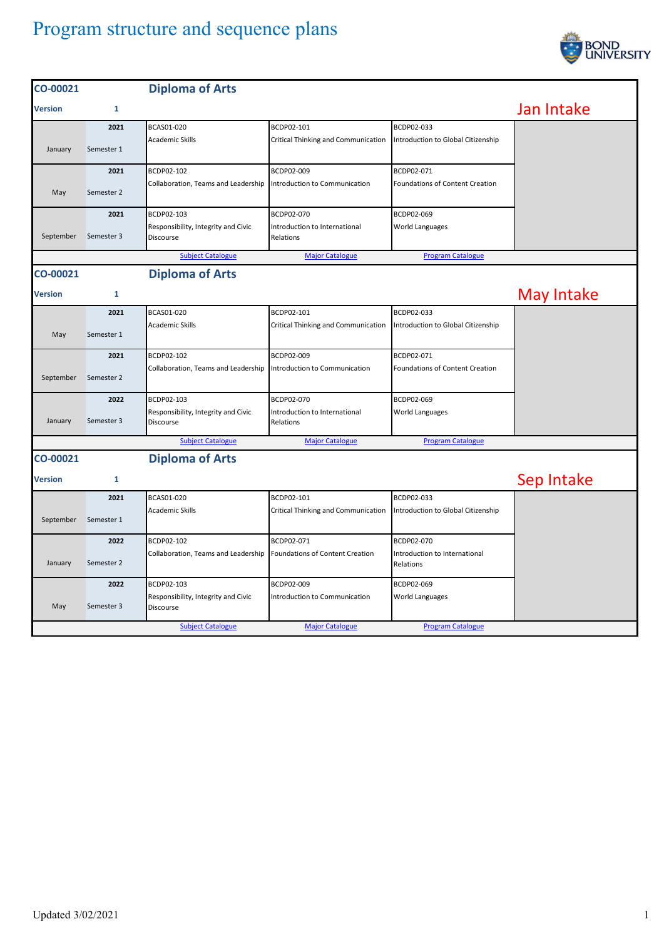## Program structure and sequence plans



| CO-00021       |              | <b>Diploma of Arts</b>                           |                                            |                                            |            |
|----------------|--------------|--------------------------------------------------|--------------------------------------------|--------------------------------------------|------------|
| <b>Version</b> | $\mathbf{1}$ |                                                  |                                            |                                            | Jan Intake |
|                | 2021         | BCAS01-020                                       | BCDP02-101                                 | BCDP02-033                                 |            |
| January        | Semester 1   | Academic Skills                                  | Critical Thinking and Communication        | Introduction to Global Citizenship         |            |
|                | 2021         | BCDP02-102                                       | BCDP02-009                                 | BCDP02-071                                 |            |
| May            | Semester 2   | Collaboration, Teams and Leadership              | Introduction to Communication              | Foundations of Content Creation            |            |
|                | 2021         | BCDP02-103                                       | BCDP02-070                                 | BCDP02-069                                 |            |
| September      | Semester 3   | Responsibility, Integrity and Civic<br>Discourse | Introduction to International<br>Relations | World Languages                            |            |
|                |              | <b>Subject Catalogue</b>                         | <b>Major Catalogue</b>                     | <b>Program Catalogue</b>                   |            |
| CO-00021       |              | <b>Diploma of Arts</b>                           |                                            |                                            |            |
| <b>Version</b> | $\mathbf{1}$ |                                                  |                                            |                                            | May Intake |
|                | 2021         | BCAS01-020                                       | BCDP02-101                                 | BCDP02-033                                 |            |
| May            | Semester 1   | Academic Skills                                  | Critical Thinking and Communication        | Introduction to Global Citizenship         |            |
|                | 2021         | BCDP02-102                                       | BCDP02-009                                 | BCDP02-071                                 |            |
| September      | Semester 2   | Collaboration, Teams and Leadership              | Introduction to Communication              | <b>Foundations of Content Creation</b>     |            |
|                | 2022         | BCDP02-103                                       | BCDP02-070                                 | BCDP02-069                                 |            |
| January        | Semester 3   | Responsibility, Integrity and Civic<br>Discourse | Introduction to International<br>Relations | World Languages                            |            |
|                |              | <b>Subject Catalogue</b>                         | <b>Major Catalogue</b>                     | <b>Program Catalogue</b>                   |            |
| CO-00021       |              | <b>Diploma of Arts</b>                           |                                            |                                            |            |
| Version        | 1            |                                                  |                                            |                                            | Sep Intake |
|                | 2021         | BCAS01-020                                       | BCDP02-101                                 | BCDP02-033                                 |            |
| September      | Semester 1   | Academic Skills                                  | Critical Thinking and Communication        | Introduction to Global Citizenship         |            |
|                | 2022         | BCDP02-102                                       | BCDP02-071                                 | BCDP02-070                                 |            |
| January        | Semester 2   | Collaboration, Teams and Leadership              | Foundations of Content Creation            | Introduction to International<br>Relations |            |
|                | 2022         | BCDP02-103                                       | BCDP02-009                                 | BCDP02-069                                 |            |
| May            | Semester 3   | Responsibility, Integrity and Civic<br>Discourse | Introduction to Communication              | World Languages                            |            |
|                |              | <b>Subject Catalogue</b>                         | <b>Major Catalogue</b>                     | <b>Program Catalogue</b>                   |            |